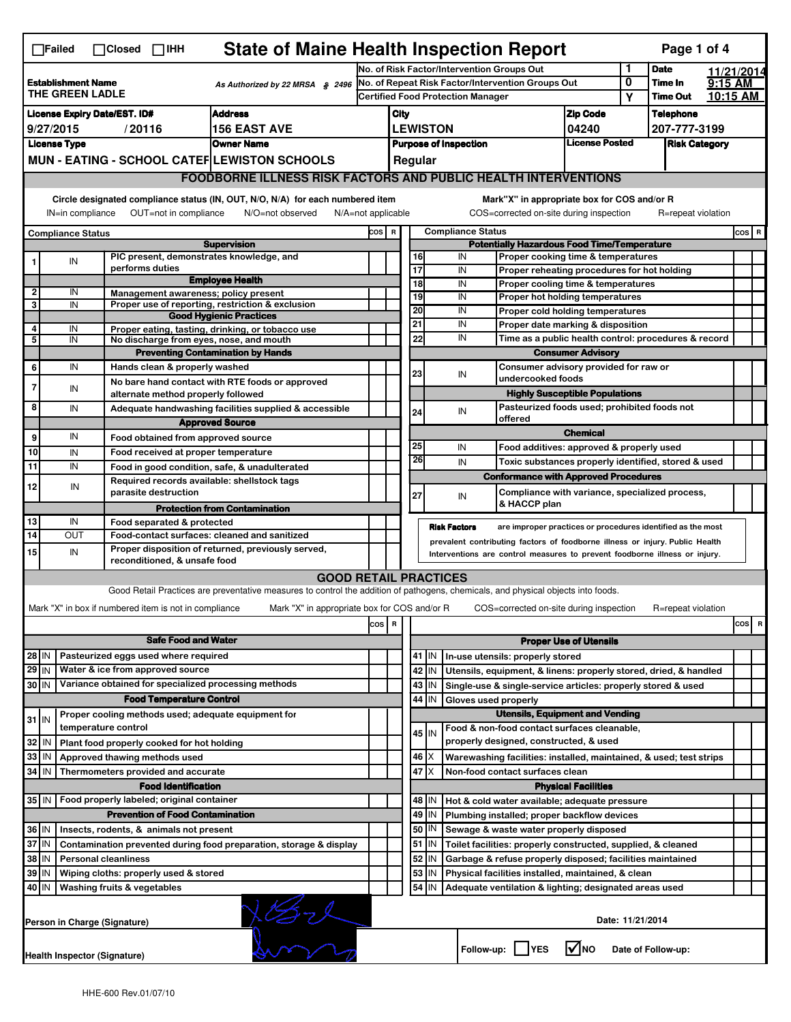| <b>State of Maine Health Inspection Report</b><br>Page 1 of 4<br>$\Box$ Failed<br>$\Box$ Closed $\Box$ IHH |                                                                                                                                                                                                                                                                                       |                                                                                              |                                                                                                                                   |                                                                                                                                                            |                                                                                               |                                                                                                      |                         |                                                                                                                 |                                                                   |                                             |                                                      |                                                             |           |            |
|------------------------------------------------------------------------------------------------------------|---------------------------------------------------------------------------------------------------------------------------------------------------------------------------------------------------------------------------------------------------------------------------------------|----------------------------------------------------------------------------------------------|-----------------------------------------------------------------------------------------------------------------------------------|------------------------------------------------------------------------------------------------------------------------------------------------------------|-----------------------------------------------------------------------------------------------|------------------------------------------------------------------------------------------------------|-------------------------|-----------------------------------------------------------------------------------------------------------------|-------------------------------------------------------------------|---------------------------------------------|------------------------------------------------------|-------------------------------------------------------------|-----------|------------|
|                                                                                                            |                                                                                                                                                                                                                                                                                       |                                                                                              |                                                                                                                                   |                                                                                                                                                            | No. of Risk Factor/Intervention Groups Out                                                    |                                                                                                      |                         |                                                                                                                 |                                                                   |                                             | 1                                                    | <b>Date</b>                                                 |           | 11/21/2014 |
| <b>Establishment Name</b><br>As Authorized by 22 MRSA $$$ 2496<br>THE GREEN LADLE                          |                                                                                                                                                                                                                                                                                       |                                                                                              |                                                                                                                                   |                                                                                                                                                            | No. of Repeat Risk Factor/Intervention Groups Out<br><b>Certified Food Protection Manager</b> |                                                                                                      |                         |                                                                                                                 |                                                                   |                                             | 0<br>Υ                                               | Time In<br><b>Time Out</b>                                  | $9:15$ AM | 10:15 AM   |
|                                                                                                            | License Expiry Date/EST. ID#<br><b>Address</b>                                                                                                                                                                                                                                        |                                                                                              |                                                                                                                                   |                                                                                                                                                            |                                                                                               |                                                                                                      | <b>Zip Code</b><br>City |                                                                                                                 |                                                                   |                                             |                                                      | <b>Telephone</b>                                            |           |            |
| <b>156 EAST AVE</b><br>9/27/2015<br>/20116                                                                 |                                                                                                                                                                                                                                                                                       |                                                                                              |                                                                                                                                   |                                                                                                                                                            | <b>LEWISTON</b><br>04240                                                                      |                                                                                                      |                         |                                                                                                                 |                                                                   | 207-777-3199                                |                                                      |                                                             |           |            |
| <b>Owner Name</b><br><b>License Type</b>                                                                   |                                                                                                                                                                                                                                                                                       |                                                                                              |                                                                                                                                   |                                                                                                                                                            | <b>License Posted</b><br><b>Purpose of Inspection</b>                                         |                                                                                                      |                         |                                                                                                                 | <b>Risk Category</b>                                              |                                             |                                                      |                                                             |           |            |
| MUN - EATING - SCHOOL CATEF LEWISTON SCHOOLS                                                               |                                                                                                                                                                                                                                                                                       |                                                                                              |                                                                                                                                   | Regular                                                                                                                                                    |                                                                                               |                                                                                                      |                         |                                                                                                                 |                                                                   |                                             |                                                      |                                                             |           |            |
|                                                                                                            | <b>FOODBORNE ILLNESS RISK FACTORS AND PUBLIC HEALTH INTERVENTIONS</b>                                                                                                                                                                                                                 |                                                                                              |                                                                                                                                   |                                                                                                                                                            |                                                                                               |                                                                                                      |                         |                                                                                                                 |                                                                   |                                             |                                                      |                                                             |           |            |
|                                                                                                            |                                                                                                                                                                                                                                                                                       |                                                                                              |                                                                                                                                   |                                                                                                                                                            |                                                                                               |                                                                                                      |                         |                                                                                                                 |                                                                   |                                             |                                                      |                                                             |           |            |
|                                                                                                            | Circle designated compliance status (IN, OUT, N/O, N/A) for each numbered item<br>Mark"X" in appropriate box for COS and/or R<br>IN=in compliance<br>OUT=not in compliance<br>N/A=not applicable<br>COS=corrected on-site during inspection<br>R=repeat violation<br>N/O=not observed |                                                                                              |                                                                                                                                   |                                                                                                                                                            |                                                                                               |                                                                                                      |                         |                                                                                                                 |                                                                   |                                             |                                                      |                                                             |           |            |
| <b>Compliance Status</b>                                                                                   |                                                                                                                                                                                                                                                                                       |                                                                                              |                                                                                                                                   |                                                                                                                                                            |                                                                                               | <b>Compliance Status</b><br>COS R                                                                    |                         |                                                                                                                 |                                                                   |                                             |                                                      |                                                             |           | COS R      |
| <b>Supervision</b><br>PIC present, demonstrates knowledge, and                                             |                                                                                                                                                                                                                                                                                       |                                                                                              |                                                                                                                                   |                                                                                                                                                            |                                                                                               | <b>Potentially Hazardous Food Time/Temperature</b><br>16<br>IN<br>Proper cooking time & temperatures |                         |                                                                                                                 |                                                                   |                                             |                                                      |                                                             |           |            |
|                                                                                                            | IN                                                                                                                                                                                                                                                                                    | performs duties                                                                              |                                                                                                                                   |                                                                                                                                                            |                                                                                               | $\overline{17}$                                                                                      |                         | IN                                                                                                              |                                                                   | Proper reheating procedures for hot holding |                                                      |                                                             |           |            |
|                                                                                                            |                                                                                                                                                                                                                                                                                       |                                                                                              | <b>Employee Health</b>                                                                                                            |                                                                                                                                                            |                                                                                               | 18                                                                                                   |                         | IN                                                                                                              |                                                                   | Proper cooling time & temperatures          |                                                      |                                                             |           |            |
| $\overline{2}$<br>3                                                                                        | IN<br>IN                                                                                                                                                                                                                                                                              | Management awareness; policy present                                                         | Proper use of reporting, restriction & exclusion                                                                                  |                                                                                                                                                            |                                                                                               | 19                                                                                                   |                         | IN                                                                                                              |                                                                   | Proper hot holding temperatures             |                                                      |                                                             |           |            |
|                                                                                                            |                                                                                                                                                                                                                                                                                       |                                                                                              | <b>Good Hygienic Practices</b>                                                                                                    |                                                                                                                                                            |                                                                                               | 20                                                                                                   |                         | IN                                                                                                              |                                                                   | Proper cold holding temperatures            |                                                      |                                                             |           |            |
| 4<br>5                                                                                                     | IN                                                                                                                                                                                                                                                                                    |                                                                                              | Proper eating, tasting, drinking, or tobacco use                                                                                  |                                                                                                                                                            |                                                                                               | 21<br>22                                                                                             |                         | IN<br>IN                                                                                                        |                                                                   | Proper date marking & disposition           | Time as a public health control: procedures & record |                                                             |           |            |
|                                                                                                            | IN                                                                                                                                                                                                                                                                                    | No discharge from eyes, nose, and mouth                                                      | <b>Preventing Contamination by Hands</b>                                                                                          |                                                                                                                                                            |                                                                                               |                                                                                                      |                         |                                                                                                                 |                                                                   |                                             |                                                      |                                                             |           |            |
| 6                                                                                                          | IN                                                                                                                                                                                                                                                                                    | Hands clean & properly washed                                                                |                                                                                                                                   |                                                                                                                                                            |                                                                                               |                                                                                                      |                         |                                                                                                                 | <b>Consumer Advisory</b><br>Consumer advisory provided for raw or |                                             |                                                      |                                                             |           |            |
|                                                                                                            |                                                                                                                                                                                                                                                                                       |                                                                                              | No bare hand contact with RTE foods or approved                                                                                   |                                                                                                                                                            |                                                                                               | 23                                                                                                   |                         | IN<br>undercooked foods                                                                                         |                                                                   |                                             |                                                      |                                                             |           |            |
| 7                                                                                                          | IN                                                                                                                                                                                                                                                                                    | alternate method properly followed                                                           |                                                                                                                                   |                                                                                                                                                            |                                                                                               |                                                                                                      |                         |                                                                                                                 | <b>Highly Susceptible Populations</b>                             |                                             |                                                      |                                                             |           |            |
| 8                                                                                                          | IN                                                                                                                                                                                                                                                                                    |                                                                                              | Adequate handwashing facilities supplied & accessible                                                                             |                                                                                                                                                            |                                                                                               | 24                                                                                                   |                         | IN                                                                                                              | Pasteurized foods used; prohibited foods not                      |                                             |                                                      |                                                             |           |            |
|                                                                                                            |                                                                                                                                                                                                                                                                                       |                                                                                              | <b>Approved Source</b>                                                                                                            |                                                                                                                                                            |                                                                                               |                                                                                                      |                         | offered                                                                                                         |                                                                   | <b>Chemical</b>                             |                                                      |                                                             |           |            |
| 9                                                                                                          | IN                                                                                                                                                                                                                                                                                    | Food obtained from approved source                                                           |                                                                                                                                   |                                                                                                                                                            |                                                                                               | 25                                                                                                   |                         | IN                                                                                                              |                                                                   | Food additives: approved & properly used    |                                                      |                                                             |           |            |
| 10<br>11                                                                                                   | IN<br>IN                                                                                                                                                                                                                                                                              | Food received at proper temperature                                                          |                                                                                                                                   |                                                                                                                                                            |                                                                                               | 26                                                                                                   |                         | IN                                                                                                              |                                                                   |                                             |                                                      | Toxic substances properly identified, stored & used         |           |            |
|                                                                                                            |                                                                                                                                                                                                                                                                                       | Food in good condition, safe, & unadulterated<br>Required records available: shellstock tags |                                                                                                                                   |                                                                                                                                                            |                                                                                               |                                                                                                      |                         | <b>Conformance with Approved Procedures</b>                                                                     |                                                                   |                                             |                                                      |                                                             |           |            |
| 12                                                                                                         | IN                                                                                                                                                                                                                                                                                    | parasite destruction                                                                         |                                                                                                                                   |                                                                                                                                                            |                                                                                               | 27                                                                                                   |                         | IN<br>& HACCP plan                                                                                              |                                                                   |                                             |                                                      | Compliance with variance, specialized process,              |           |            |
|                                                                                                            | IN                                                                                                                                                                                                                                                                                    |                                                                                              | <b>Protection from Contamination</b>                                                                                              |                                                                                                                                                            |                                                                                               |                                                                                                      |                         |                                                                                                                 |                                                                   |                                             |                                                      |                                                             |           |            |
| 13<br>14                                                                                                   | OUT                                                                                                                                                                                                                                                                                   | Food separated & protected<br>Food-contact surfaces: cleaned and sanitized                   |                                                                                                                                   |                                                                                                                                                            |                                                                                               |                                                                                                      | <b>Risk Factors</b>     |                                                                                                                 |                                                                   |                                             |                                                      | are improper practices or procedures identified as the most |           |            |
| 15                                                                                                         | IN                                                                                                                                                                                                                                                                                    |                                                                                              | Proper disposition of returned, previously served,                                                                                | prevalent contributing factors of foodborne illness or injury. Public Health<br>Interventions are control measures to prevent foodborne illness or injury. |                                                                                               |                                                                                                      |                         |                                                                                                                 |                                                                   |                                             |                                                      |                                                             |           |            |
|                                                                                                            |                                                                                                                                                                                                                                                                                       | reconditioned, & unsafe food                                                                 |                                                                                                                                   |                                                                                                                                                            |                                                                                               |                                                                                                      |                         |                                                                                                                 |                                                                   |                                             |                                                      |                                                             |           |            |
|                                                                                                            |                                                                                                                                                                                                                                                                                       |                                                                                              | <b>GOOD RETAIL PRACTICES</b>                                                                                                      |                                                                                                                                                            |                                                                                               |                                                                                                      |                         |                                                                                                                 |                                                                   |                                             |                                                      |                                                             |           |            |
|                                                                                                            |                                                                                                                                                                                                                                                                                       |                                                                                              | Good Retail Practices are preventative measures to control the addition of pathogens, chemicals, and physical objects into foods. |                                                                                                                                                            |                                                                                               |                                                                                                      |                         |                                                                                                                 |                                                                   |                                             |                                                      |                                                             |           |            |
|                                                                                                            |                                                                                                                                                                                                                                                                                       | Mark "X" in box if numbered item is not in compliance                                        | Mark "X" in appropriate box for COS and/or R                                                                                      |                                                                                                                                                            |                                                                                               |                                                                                                      |                         | COS=corrected on-site during inspection                                                                         |                                                                   |                                             |                                                      | R=repeat violation                                          |           |            |
|                                                                                                            |                                                                                                                                                                                                                                                                                       |                                                                                              |                                                                                                                                   | cos                                                                                                                                                        | R                                                                                             |                                                                                                      |                         |                                                                                                                 |                                                                   |                                             |                                                      |                                                             |           | cos<br>R   |
| <b>Safe Food and Water</b>                                                                                 |                                                                                                                                                                                                                                                                                       |                                                                                              |                                                                                                                                   |                                                                                                                                                            |                                                                                               |                                                                                                      |                         |                                                                                                                 |                                                                   | <b>Proper Use of Utensils</b>               |                                                      |                                                             |           |            |
| 28 IN                                                                                                      |                                                                                                                                                                                                                                                                                       | Pasteurized eggs used where required                                                         |                                                                                                                                   |                                                                                                                                                            |                                                                                               |                                                                                                      | 41   IN                 | In-use utensils: properly stored                                                                                |                                                                   |                                             |                                                      |                                                             |           |            |
| $29$ IN                                                                                                    |                                                                                                                                                                                                                                                                                       | Water & ice from approved source<br>Variance obtained for specialized processing methods     |                                                                                                                                   |                                                                                                                                                            |                                                                                               |                                                                                                      | 42 IN                   | Utensils, equipment, & linens: properly stored, dried, & handled                                                |                                                                   |                                             |                                                      |                                                             |           |            |
| 30 IN                                                                                                      |                                                                                                                                                                                                                                                                                       |                                                                                              |                                                                                                                                   |                                                                                                                                                            |                                                                                               |                                                                                                      | $43$   IN               | Single-use & single-service articles: properly stored & used                                                    |                                                                   |                                             |                                                      |                                                             |           |            |
|                                                                                                            |                                                                                                                                                                                                                                                                                       | <b>Food Temperature Control</b><br>Proper cooling methods used; adequate equipment for       |                                                                                                                                   |                                                                                                                                                            |                                                                                               |                                                                                                      | 44<br>IΙN               | Gloves used properly                                                                                            |                                                                   | <b>Utensils, Equipment and Vending</b>      |                                                      |                                                             |           |            |
| $31$ IN                                                                                                    |                                                                                                                                                                                                                                                                                       | temperature control                                                                          |                                                                                                                                   |                                                                                                                                                            |                                                                                               |                                                                                                      |                         | Food & non-food contact surfaces cleanable,                                                                     |                                                                   |                                             |                                                      |                                                             |           |            |
| 32                                                                                                         | ۱N                                                                                                                                                                                                                                                                                    | Plant food properly cooked for hot holding                                                   |                                                                                                                                   |                                                                                                                                                            |                                                                                               |                                                                                                      | 45 IN                   | properly designed, constructed, & used                                                                          |                                                                   |                                             |                                                      |                                                             |           |            |
| 33 IN                                                                                                      |                                                                                                                                                                                                                                                                                       | Approved thawing methods used                                                                |                                                                                                                                   |                                                                                                                                                            |                                                                                               |                                                                                                      | $46 \mid X$             | Warewashing facilities: installed, maintained, & used; test strips                                              |                                                                   |                                             |                                                      |                                                             |           |            |
| 34 IN                                                                                                      |                                                                                                                                                                                                                                                                                       | Thermometers provided and accurate                                                           |                                                                                                                                   |                                                                                                                                                            |                                                                                               |                                                                                                      | 47<br>ΙX                | Non-food contact surfaces clean                                                                                 |                                                                   |                                             |                                                      |                                                             |           |            |
|                                                                                                            |                                                                                                                                                                                                                                                                                       | <b>Food Identification</b>                                                                   |                                                                                                                                   |                                                                                                                                                            |                                                                                               |                                                                                                      |                         |                                                                                                                 |                                                                   | <b>Physical Facilities</b>                  |                                                      |                                                             |           |            |
|                                                                                                            |                                                                                                                                                                                                                                                                                       | 35 IN   Food properly labeled; original container                                            |                                                                                                                                   |                                                                                                                                                            |                                                                                               |                                                                                                      | 48   IN                 | Hot & cold water available; adequate pressure                                                                   |                                                                   |                                             |                                                      |                                                             |           |            |
|                                                                                                            |                                                                                                                                                                                                                                                                                       | <b>Prevention of Food Contamination</b>                                                      |                                                                                                                                   |                                                                                                                                                            |                                                                                               |                                                                                                      | $49$ IN                 | Plumbing installed; proper backflow devices                                                                     |                                                                   |                                             |                                                      |                                                             |           |            |
| 36 IN                                                                                                      |                                                                                                                                                                                                                                                                                       | Insects, rodents, & animals not present                                                      |                                                                                                                                   |                                                                                                                                                            |                                                                                               |                                                                                                      | 50   IN                 | Sewage & waste water properly disposed                                                                          |                                                                   |                                             |                                                      |                                                             |           |            |
| 37                                                                                                         | ΙM                                                                                                                                                                                                                                                                                    |                                                                                              | Contamination prevented during food preparation, storage & display                                                                |                                                                                                                                                            |                                                                                               |                                                                                                      | 51<br>IN.               | Toilet facilities: properly constructed, supplied, & cleaned                                                    |                                                                   |                                             |                                                      |                                                             |           |            |
| 38 IN<br><b>Personal cleanliness</b>                                                                       |                                                                                                                                                                                                                                                                                       |                                                                                              |                                                                                                                                   |                                                                                                                                                            |                                                                                               |                                                                                                      | 52<br>IN<br>53<br>IN    | Garbage & refuse properly disposed; facilities maintained<br>Physical facilities installed, maintained, & clean |                                                                   |                                             |                                                      |                                                             |           |            |
| 39 IN<br>Wiping cloths: properly used & stored<br>40   IN<br>Washing fruits & vegetables                   |                                                                                                                                                                                                                                                                                       |                                                                                              |                                                                                                                                   |                                                                                                                                                            |                                                                                               |                                                                                                      | 54 J IN                 | Adequate ventilation & lighting; designated areas used                                                          |                                                                   |                                             |                                                      |                                                             |           |            |
|                                                                                                            | $\sigma$<br>Date: 11/21/2014<br>Person in Charge (Signature)                                                                                                                                                                                                                          |                                                                                              |                                                                                                                                   |                                                                                                                                                            |                                                                                               |                                                                                                      |                         |                                                                                                                 |                                                                   |                                             |                                                      |                                                             |           |            |
|                                                                                                            |                                                                                                                                                                                                                                                                                       |                                                                                              |                                                                                                                                   |                                                                                                                                                            |                                                                                               |                                                                                                      |                         | l√lno<br>Follow-up:  <br><b>IYES</b><br>Date of Follow-up:<br><b>Health Inspector (Signature)</b>               |                                                                   |                                             |                                                      |                                                             |           |            |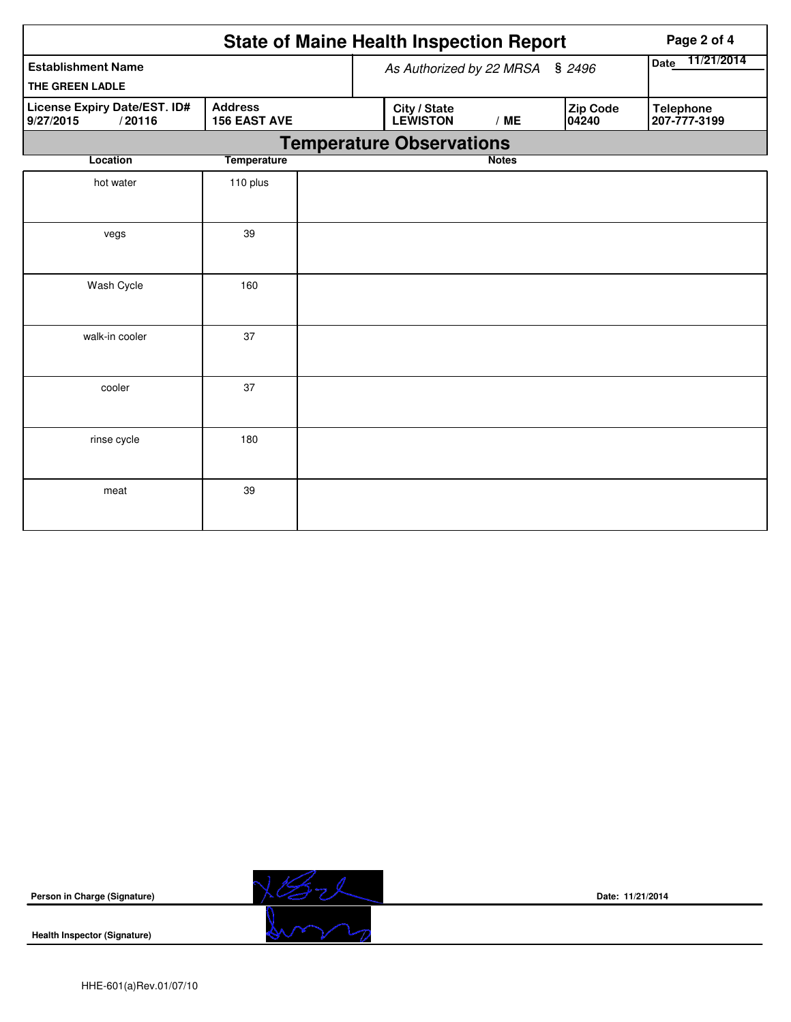|                                                     | Page 2 of 4                     |                                 |                          |                                  |  |
|-----------------------------------------------------|---------------------------------|---------------------------------|--------------------------|----------------------------------|--|
| <b>Establishment Name</b><br>THE GREEN LADLE        |                                 | As Authorized by 22 MRSA § 2496 | Date 11/21/2014          |                                  |  |
| License Expiry Date/EST. ID#<br>9/27/2015<br>/20116 | City / State<br><b>LEWISTON</b> | /ME                             | <b>Zip Code</b><br>04240 | <b>Telephone</b><br>207-777-3199 |  |
|                                                     |                                 | <b>Temperature Observations</b> |                          |                                  |  |
| Location                                            | <b>Temperature</b>              |                                 | <b>Notes</b>             |                                  |  |
| hot water                                           | 110 plus                        |                                 |                          |                                  |  |
| vegs                                                | 39                              |                                 |                          |                                  |  |
| Wash Cycle                                          | 160                             |                                 |                          |                                  |  |
| walk-in cooler                                      | 37                              |                                 |                          |                                  |  |
| cooler                                              | 37                              |                                 |                          |                                  |  |
| rinse cycle                                         | 180                             |                                 |                          |                                  |  |
| meat                                                | 39                              |                                 |                          |                                  |  |

**Person in Charge (Signature)**



**Date: 11/21/2014**

**Health Inspector (Signature)**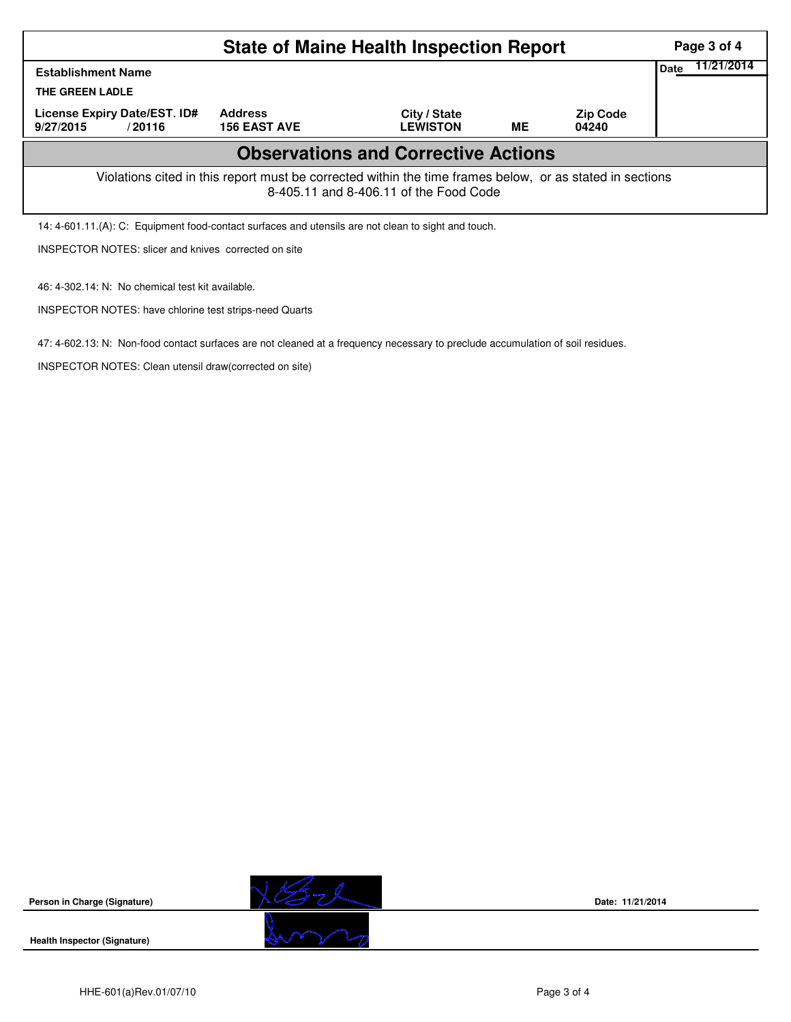|                                                                                                                                                    | Page 3 of 4                           |                                 |    |                          |      |            |  |  |  |
|----------------------------------------------------------------------------------------------------------------------------------------------------|---------------------------------------|---------------------------------|----|--------------------------|------|------------|--|--|--|
| <b>Establishment Name</b>                                                                                                                          |                                       |                                 |    |                          | Date | 11/21/2014 |  |  |  |
| THE GREEN LADLE                                                                                                                                    |                                       |                                 |    |                          |      |            |  |  |  |
| License Expiry Date/EST. ID#<br>9/27/2015<br>/20116                                                                                                | <b>Address</b><br><b>156 EAST AVE</b> | City / State<br><b>LEWISTON</b> | ME | <b>Zip Code</b><br>04240 |      |            |  |  |  |
| <b>Observations and Corrective Actions</b>                                                                                                         |                                       |                                 |    |                          |      |            |  |  |  |
| Violations cited in this report must be corrected within the time frames below, or as stated in sections<br>8-405.11 and 8-406.11 of the Food Code |                                       |                                 |    |                          |      |            |  |  |  |
| 14: 4-601.11.(A): C: Equipment food-contact surfaces and utensils are not clean to sight and touch.                                                |                                       |                                 |    |                          |      |            |  |  |  |
| <b>INSPECTOR NOTES: slicer and knives corrected on site</b>                                                                                        |                                       |                                 |    |                          |      |            |  |  |  |

47: 4-602.13: N: Non-food contact surfaces are not cleaned at a frequency necessary to preclude accumulation of soil residues.

**Health Inspector (Signature)** 

**Person in Charge (Signature)**



**Date: 11/21/2014**

46: 4-302.14: N: No chemical test kit available.

INSPECTOR NOTES: have chlorine test strips-need Quarts

INSPECTOR NOTES: Clean utensil draw(corrected on site)